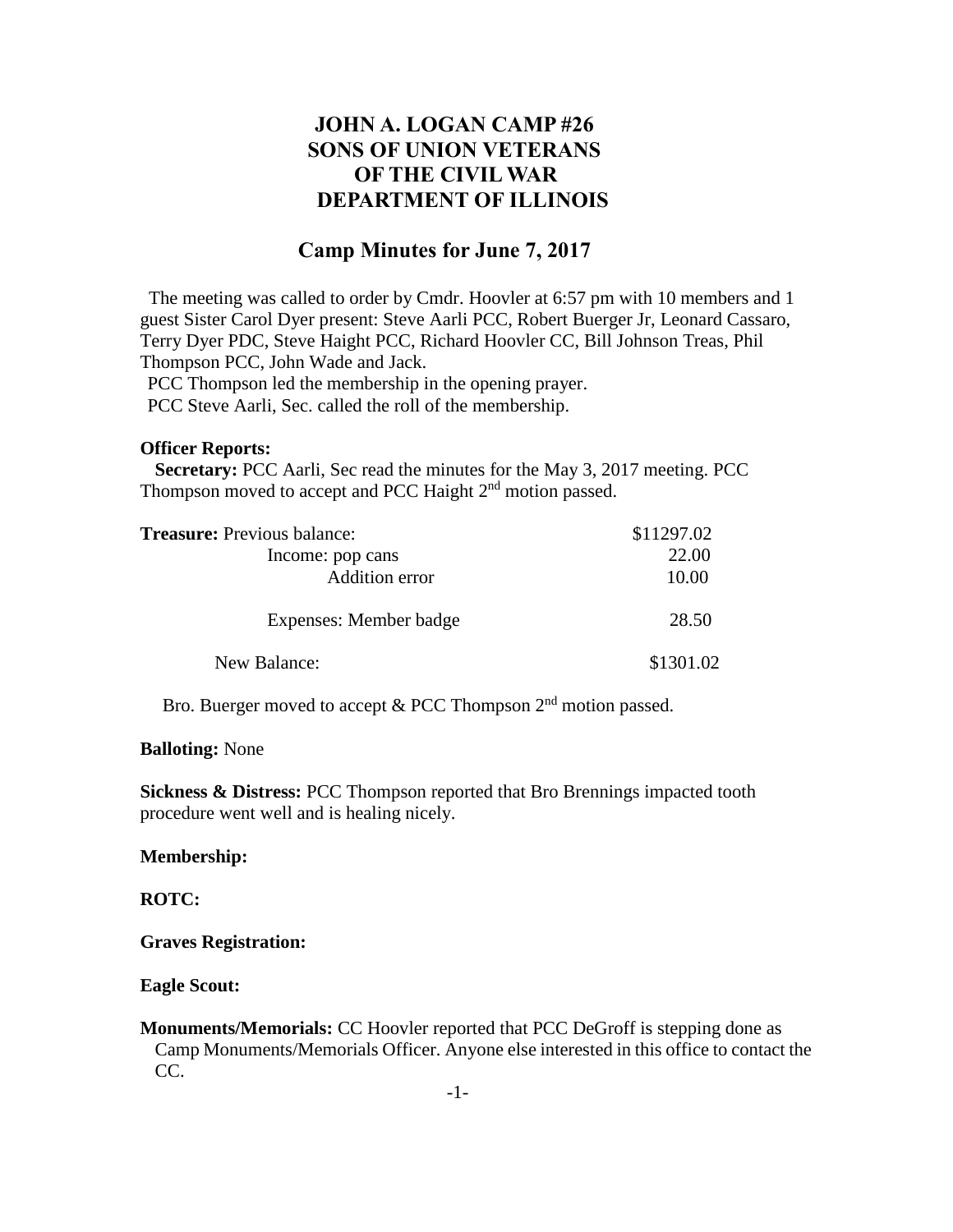# **JOHN A. LOGAN CAMP #26 SONS OF UNION VETERANS OF THE CIVIL WAR DEPARTMENT OF ILLINOIS**

# **Camp Minutes for June 7, 2017**

The meeting was called to order by Cmdr. Hoovler at 6:57 pm with 10 members and 1 guest Sister Carol Dyer present: Steve Aarli PCC, Robert Buerger Jr, Leonard Cassaro, Terry Dyer PDC, Steve Haight PCC, Richard Hoovler CC, Bill Johnson Treas, Phil Thompson PCC, John Wade and Jack.

PCC Thompson led the membership in the opening prayer. PCC Steve Aarli, Sec. called the roll of the membership.

#### **Officer Reports:**

 **Secretary:** PCC Aarli, Sec read the minutes for the May 3, 2017 meeting. PCC Thompson moved to accept and PCC Haight  $2<sup>nd</sup>$  motion passed.

| <b>Treasure:</b> Previous balance: | \$11297.02 |
|------------------------------------|------------|
| Income: pop cans                   | 22.00      |
| Addition error                     | 10.00      |
| Expenses: Member badge             | 28.50      |
| New Balance:                       | \$1301.02  |

Bro. Buerger moved to accept & PCC Thompson  $2<sup>nd</sup>$  motion passed.

#### **Balloting:** None

**Sickness & Distress:** PCC Thompson reported that Bro Brennings impacted tooth procedure went well and is healing nicely.

#### **Membership:**

#### **ROTC:**

**Graves Registration:**

#### **Eagle Scout:**

**Monuments/Memorials:** CC Hoovler reported that PCC DeGroff is stepping done as Camp Monuments/Memorials Officer. Anyone else interested in this office to contact the CC.